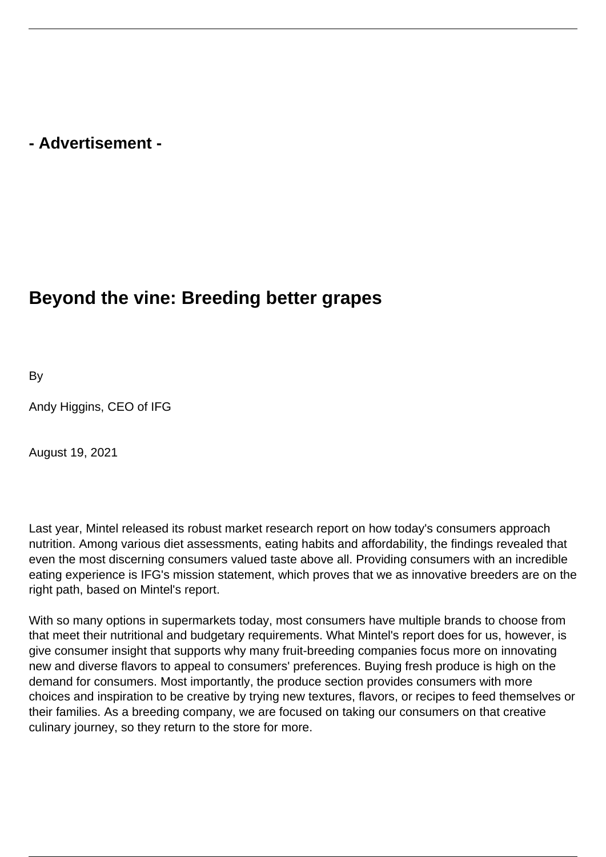## **- Advertisement -**

## **Beyond the vine: Breeding better grapes**

By

Andy Higgins, CEO of IFG

August 19, 2021

Last year, Mintel released its robust market research report on how today's consumers approach nutrition. Among various diet assessments, eating habits and affordability, the findings revealed that even the most discerning consumers valued taste above all. Providing consumers with an incredible eating experience is IFG's mission statement, which proves that we as innovative breeders are on the right path, based on Mintel's report.

With so many options in supermarkets today, most consumers have multiple brands to choose from that meet their nutritional and budgetary requirements. What Mintel's report does for us, however, is give consumer insight that supports why many fruit-breeding companies focus more on innovating new and diverse flavors to appeal to consumers' preferences. Buying fresh produce is high on the demand for consumers. Most importantly, the produce section provides consumers with more choices and inspiration to be creative by trying new textures, flavors, or recipes to feed themselves or their families. As a breeding company, we are focused on taking our consumers on that creative culinary journey, so they return to the store for more.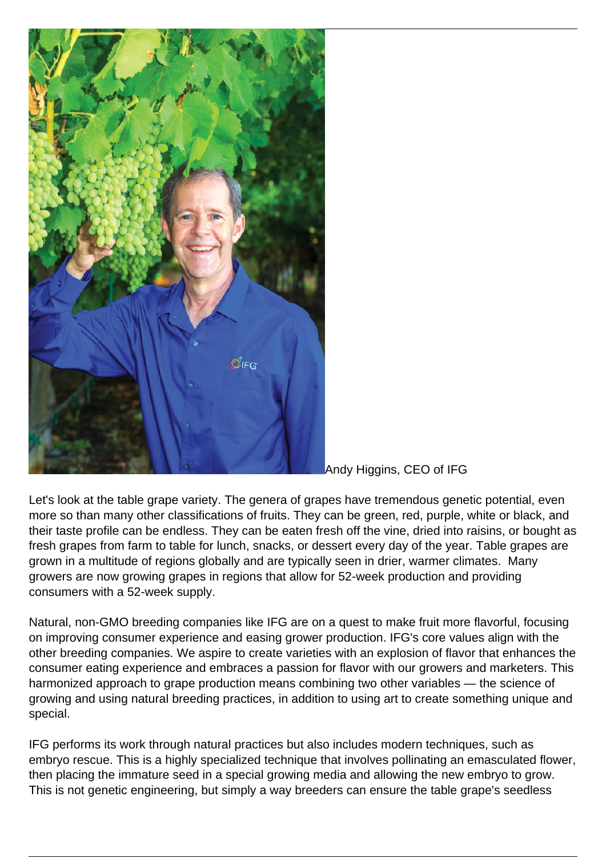

Andy Higgins, CEO of IFG

Let's look at the table grape variety. The genera of grapes have tremendous genetic potential, even more so than many other classifications of fruits. They can be green, red, purple, white or black, and their taste profile can be endless. They can be eaten fresh off the vine, dried into raisins, or bought as fresh grapes from farm to table for lunch, snacks, or dessert every day of the year. Table grapes are grown in a multitude of regions globally and are typically seen in drier, warmer climates. Many growers are now growing grapes in regions that allow for 52-week production and providing consumers with a 52-week supply.

Natural, non-GMO breeding companies like IFG are on a quest to make fruit more flavorful, focusing on improving consumer experience and easing grower production. IFG's core values align with the other breeding companies. We aspire to create varieties with an explosion of flavor that enhances the consumer eating experience and embraces a passion for flavor with our growers and marketers. This harmonized approach to grape production means combining two other variables — the science of growing and using natural breeding practices, in addition to using art to create something unique and special.

IFG performs its work through natural practices but also includes modern techniques, such as embryo rescue. This is a highly specialized technique that involves pollinating an emasculated flower, then placing the immature seed in a special growing media and allowing the new embryo to grow. This is not genetic engineering, but simply a way breeders can ensure the table grape's seedless